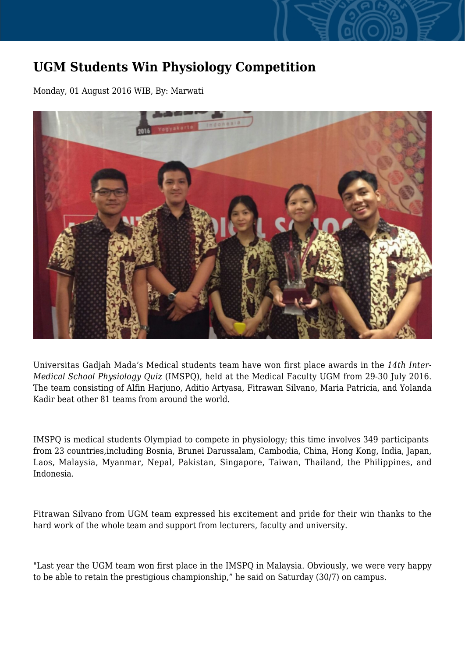## **UGM Students Win Physiology Competition**

Monday, 01 August 2016 WIB, By: Marwati



Universitas Gadjah Mada's Medical students team have won first place awards in the *14th Inter-Medical School Physiology Quiz* (IMSPQ), held at the Medical Faculty UGM from 29-30 July 2016. The team consisting of Alfin Harjuno, Aditio Artyasa, Fitrawan Silvano, Maria Patricia, and Yolanda Kadir beat other 81 teams from around the world.

IMSPQ is medical students Olympiad to compete in physiology; this time involves 349 participants from 23 countries,including Bosnia, Brunei Darussalam, Cambodia, China, Hong Kong, India, Japan, Laos, Malaysia, Myanmar, Nepal, Pakistan, Singapore, Taiwan, Thailand, the Philippines, and Indonesia.

Fitrawan Silvano from UGM team expressed his excitement and pride for their win thanks to the hard work of the whole team and support from lecturers, faculty and university.

"Last year the UGM team won first place in the IMSPQ in Malaysia. Obviously, we were very happy to be able to retain the prestigious championship," he said on Saturday (30/7) on campus.